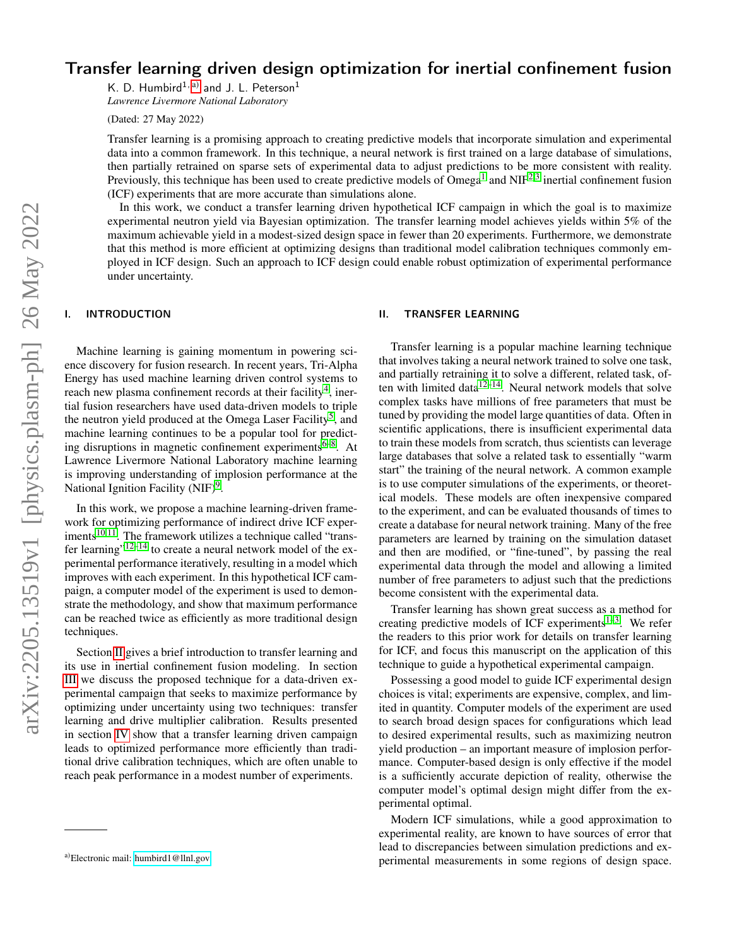# Transfer learning driven design optimization for inertial confinement fusion

K. D. Humbird<sup>1, [a\)](#page-0-0)</sup> and J. L. Peterson<sup>1</sup> *Lawrence Livermore National Laboratory*

(Dated: 27 May 2022)

Transfer learning is a promising approach to creating predictive models that incorporate simulation and experimental data into a common framework. In this technique, a neural network is first trained on a large database of simulations, then partially retrained on sparse sets of experimental data to adjust predictions to be more consistent with reality. Previously, this technique has been used to create predictive models of Omega<sup>[1](#page-4-0)</sup> and NIF<sup>[2,](#page-4-1)[3](#page-4-2)</sup> inertial confinement fusion (ICF) experiments that are more accurate than simulations alone.

In this work, we conduct a transfer learning driven hypothetical ICF campaign in which the goal is to maximize experimental neutron yield via Bayesian optimization. The transfer learning model achieves yields within 5% of the maximum achievable yield in a modest-sized design space in fewer than 20 experiments. Furthermore, we demonstrate that this method is more efficient at optimizing designs than traditional model calibration techniques commonly employed in ICF design. Such an approach to ICF design could enable robust optimization of experimental performance under uncertainty.

# I. INTRODUCTION

Machine learning is gaining momentum in powering science discovery for fusion research. In recent years, Tri-Alpha Energy has used machine learning driven control systems to reach new plasma confinement records at their facility<sup>[4](#page-4-3)</sup>, inertial fusion researchers have used data-driven models to triple the neutron yield produced at the Omega Laser Facility<sup>[5](#page-4-4)</sup>, and machine learning continues to be a popular tool for predict-ing disruptions in magnetic confinement experiments<sup>[6](#page-4-5)[–8](#page-4-6)</sup>. At Lawrence Livermore National Laboratory machine learning is improving understanding of implosion performance at the National Ignition Facility (NIF)<sup>[9](#page-4-7)</sup>.

In this work, we propose a machine learning-driven framework for optimizing performance of indirect drive ICF experiments $10,11$  $10,11$ . The framework utilizes a technique called "trans-fer learning"<sup>[12](#page-4-10)[–14](#page-4-11)</sup> to create a neural network model of the experimental performance iteratively, resulting in a model which improves with each experiment. In this hypothetical ICF campaign, a computer model of the experiment is used to demonstrate the methodology, and show that maximum performance can be reached twice as efficiently as more traditional design techniques.

Section [II](#page-0-1) gives a brief introduction to transfer learning and its use in inertial confinement fusion modeling. In section [III](#page-1-0) we discuss the proposed technique for a data-driven experimental campaign that seeks to maximize performance by optimizing under uncertainty using two techniques: transfer learning and drive multiplier calibration. Results presented in section [IV](#page-2-0) show that a transfer learning driven campaign leads to optimized performance more efficiently than traditional drive calibration techniques, which are often unable to reach peak performance in a modest number of experiments.

## <span id="page-0-1"></span>II. TRANSFER LEARNING

Transfer learning is a popular machine learning technique that involves taking a neural network trained to solve one task, and partially retraining it to solve a different, related task, often with limited data $1^{2-14}$  $1^{2-14}$  $1^{2-14}$ . Neural network models that solve complex tasks have millions of free parameters that must be tuned by providing the model large quantities of data. Often in scientific applications, there is insufficient experimental data to train these models from scratch, thus scientists can leverage large databases that solve a related task to essentially "warm start" the training of the neural network. A common example is to use computer simulations of the experiments, or theoretical models. These models are often inexpensive compared to the experiment, and can be evaluated thousands of times to create a database for neural network training. Many of the free parameters are learned by training on the simulation dataset and then are modified, or "fine-tuned", by passing the real experimental data through the model and allowing a limited number of free parameters to adjust such that the predictions become consistent with the experimental data.

Transfer learning has shown great success as a method for creating predictive models of ICF experiments $1-3$  $1-3$ . We refer the readers to this prior work for details on transfer learning for ICF, and focus this manuscript on the application of this technique to guide a hypothetical experimental campaign.

Possessing a good model to guide ICF experimental design choices is vital; experiments are expensive, complex, and limited in quantity. Computer models of the experiment are used to search broad design spaces for configurations which lead to desired experimental results, such as maximizing neutron yield production – an important measure of implosion performance. Computer-based design is only effective if the model is a sufficiently accurate depiction of reality, otherwise the computer model's optimal design might differ from the experimental optimal.

Modern ICF simulations, while a good approximation to experimental reality, are known to have sources of error that lead to discrepancies between simulation predictions and experimental measurements in some regions of design space.

<span id="page-0-0"></span>a)Electronic mail: [humbird1@llnl.gov](mailto:humbird1@llnl.gov)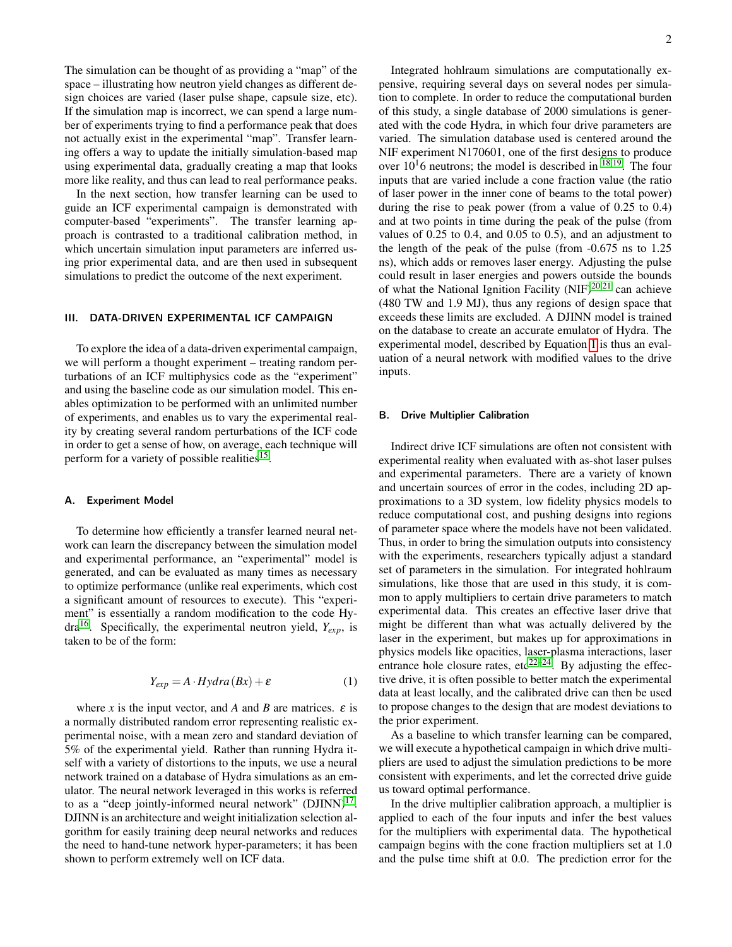The simulation can be thought of as providing a "map" of the space – illustrating how neutron yield changes as different design choices are varied (laser pulse shape, capsule size, etc). If the simulation map is incorrect, we can spend a large number of experiments trying to find a performance peak that does not actually exist in the experimental "map". Transfer learning offers a way to update the initially simulation-based map using experimental data, gradually creating a map that looks more like reality, and thus can lead to real performance peaks.

In the next section, how transfer learning can be used to guide an ICF experimental campaign is demonstrated with computer-based "experiments". The transfer learning approach is contrasted to a traditional calibration method, in which uncertain simulation input parameters are inferred using prior experimental data, and are then used in subsequent simulations to predict the outcome of the next experiment.

## <span id="page-1-0"></span>III. DATA-DRIVEN EXPERIMENTAL ICF CAMPAIGN

To explore the idea of a data-driven experimental campaign, we will perform a thought experiment – treating random perturbations of an ICF multiphysics code as the "experiment" and using the baseline code as our simulation model. This enables optimization to be performed with an unlimited number of experiments, and enables us to vary the experimental reality by creating several random perturbations of the ICF code in order to get a sense of how, on average, each technique will perform for a variety of possible realities<sup>[15](#page-4-12)</sup>.

## A. Experiment Model

To determine how efficiently a transfer learned neural network can learn the discrepancy between the simulation model and experimental performance, an "experimental" model is generated, and can be evaluated as many times as necessary to optimize performance (unlike real experiments, which cost a significant amount of resources to execute). This "experiment" is essentially a random modification to the code Hydra[16](#page-4-13). Specifically, the experimental neutron yield, *Yexp*, is taken to be of the form:

<span id="page-1-1"></span>
$$
Y_{exp} = A \cdot Hydra(Bx) + \varepsilon \tag{1}
$$

where *x* is the input vector, and *A* and *B* are matrices.  $\varepsilon$  is a normally distributed random error representing realistic experimental noise, with a mean zero and standard deviation of 5% of the experimental yield. Rather than running Hydra itself with a variety of distortions to the inputs, we use a neural network trained on a database of Hydra simulations as an emulator. The neural network leveraged in this works is referred to as a "deep jointly-informed neural network"  $(DJINN)^{17}$  $(DJINN)^{17}$  $(DJINN)^{17}$ . DJINN is an architecture and weight initialization selection algorithm for easily training deep neural networks and reduces the need to hand-tune network hyper-parameters; it has been shown to perform extremely well on ICF data.

Integrated hohlraum simulations are computationally expensive, requiring several days on several nodes per simulation to complete. In order to reduce the computational burden of this study, a single database of 2000 simulations is generated with the code Hydra, in which four drive parameters are varied. The simulation database used is centered around the NIF experiment N170601, one of the first designs to produce over  $10^{16}$  neutrons; the model is described in  $^{\bar{1}8,19}$  $^{\bar{1}8,19}$  $^{\bar{1}8,19}$ . The four inputs that are varied include a cone fraction value (the ratio of laser power in the inner cone of beams to the total power) during the rise to peak power (from a value of 0.25 to 0.4) and at two points in time during the peak of the pulse (from values of 0.25 to 0.4, and 0.05 to 0.5), and an adjustment to the length of the peak of the pulse (from -0.675 ns to 1.25 ns), which adds or removes laser energy. Adjusting the pulse could result in laser energies and powers outside the bounds of what the National Ignition Facility  $(NIF)^{20,21}$  $(NIF)^{20,21}$  $(NIF)^{20,21}$  $(NIF)^{20,21}$  can achieve (480 TW and 1.9 MJ), thus any regions of design space that exceeds these limits are excluded. A DJINN model is trained on the database to create an accurate emulator of Hydra. The experimental model, described by Equation [1](#page-1-1) is thus an evaluation of a neural network with modified values to the drive inputs.

#### <span id="page-1-2"></span>B. Drive Multiplier Calibration

Indirect drive ICF simulations are often not consistent with experimental reality when evaluated with as-shot laser pulses and experimental parameters. There are a variety of known and uncertain sources of error in the codes, including 2D approximations to a 3D system, low fidelity physics models to reduce computational cost, and pushing designs into regions of parameter space where the models have not been validated. Thus, in order to bring the simulation outputs into consistency with the experiments, researchers typically adjust a standard set of parameters in the simulation. For integrated hohlraum simulations, like those that are used in this study, it is common to apply multipliers to certain drive parameters to match experimental data. This creates an effective laser drive that might be different than what was actually delivered by the laser in the experiment, but makes up for approximations in physics models like opacities, laser-plasma interactions, laser entrance hole closure rates,  $etc^{22-24}$  $etc^{22-24}$  $etc^{22-24}$ . By adjusting the effective drive, it is often possible to better match the experimental data at least locally, and the calibrated drive can then be used to propose changes to the design that are modest deviations to the prior experiment.

As a baseline to which transfer learning can be compared, we will execute a hypothetical campaign in which drive multipliers are used to adjust the simulation predictions to be more consistent with experiments, and let the corrected drive guide us toward optimal performance.

In the drive multiplier calibration approach, a multiplier is applied to each of the four inputs and infer the best values for the multipliers with experimental data. The hypothetical campaign begins with the cone fraction multipliers set at 1.0 and the pulse time shift at 0.0. The prediction error for the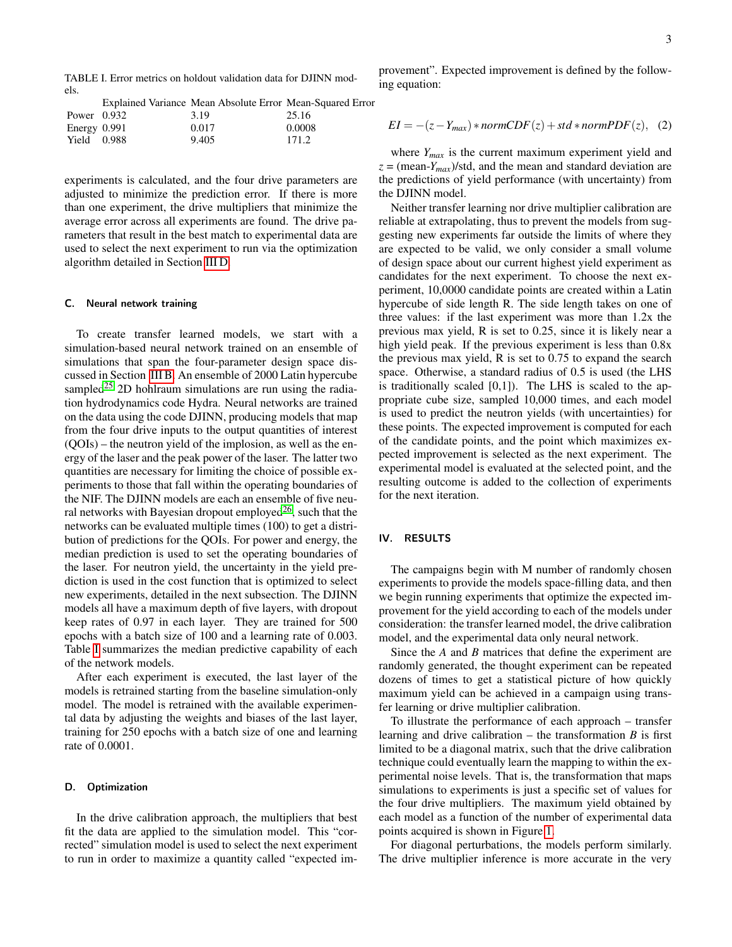<span id="page-2-2"></span>TABLE I. Error metrics on holdout validation data for DJINN models.

provement". Expected improvement is defined by the following equation:

|                | Explained Variance Mean Absolute Error Mean-Squared Error |        |
|----------------|-----------------------------------------------------------|--------|
| Power $0.932$  | 3.19                                                      | 25.16  |
| Energy $0.991$ | 0.017                                                     | 0.0008 |
| Yield 0.988    | 9.405                                                     | 171.2  |

experiments is calculated, and the four drive parameters are adjusted to minimize the prediction error. If there is more than one experiment, the drive multipliers that minimize the average error across all experiments are found. The drive parameters that result in the best match to experimental data are used to select the next experiment to run via the optimization algorithm detailed in Section [III D.](#page-2-1)

#### C. Neural network training

To create transfer learned models, we start with a simulation-based neural network trained on an ensemble of simulations that span the four-parameter design space discussed in Section [III B.](#page-1-2) An ensemble of 2000 Latin hypercube sampled<sup>[25](#page-5-2)</sup> 2D hohlraum simulations are run using the radiation hydrodynamics code Hydra. Neural networks are trained on the data using the code DJINN, producing models that map from the four drive inputs to the output quantities of interest (QOIs) – the neutron yield of the implosion, as well as the energy of the laser and the peak power of the laser. The latter two quantities are necessary for limiting the choice of possible experiments to those that fall within the operating boundaries of the NIF. The DJINN models are each an ensemble of five neural networks with Bayesian dropout employed $2<sup>6</sup>$ , such that the networks can be evaluated multiple times (100) to get a distribution of predictions for the QOIs. For power and energy, the median prediction is used to set the operating boundaries of the laser. For neutron yield, the uncertainty in the yield prediction is used in the cost function that is optimized to select new experiments, detailed in the next subsection. The DJINN models all have a maximum depth of five layers, with dropout keep rates of 0.97 in each layer. They are trained for 500 epochs with a batch size of 100 and a learning rate of 0.003. Table [I](#page-2-2) summarizes the median predictive capability of each of the network models.

After each experiment is executed, the last layer of the models is retrained starting from the baseline simulation-only model. The model is retrained with the available experimental data by adjusting the weights and biases of the last layer, training for 250 epochs with a batch size of one and learning rate of 0.0001.

# <span id="page-2-1"></span>D. Optimization

In the drive calibration approach, the multipliers that best fit the data are applied to the simulation model. This "corrected" simulation model is used to select the next experiment to run in order to maximize a quantity called "expected im-

$$
EI = -(z - Y_{max}) * normCDF(z) + std * normPDF(z), (2)
$$

where *Ymax* is the current maximum experiment yield and  $z = (mean-Y_{max})/$ std, and the mean and standard deviation are the predictions of yield performance (with uncertainty) from the DJINN model.

Neither transfer learning nor drive multiplier calibration are reliable at extrapolating, thus to prevent the models from suggesting new experiments far outside the limits of where they are expected to be valid, we only consider a small volume of design space about our current highest yield experiment as candidates for the next experiment. To choose the next experiment, 10,0000 candidate points are created within a Latin hypercube of side length R. The side length takes on one of three values: if the last experiment was more than 1.2x the previous max yield, R is set to 0.25, since it is likely near a high yield peak. If the previous experiment is less than 0.8x the previous max yield, R is set to 0.75 to expand the search space. Otherwise, a standard radius of 0.5 is used (the LHS is traditionally scaled  $[0,1]$ ). The LHS is scaled to the appropriate cube size, sampled 10,000 times, and each model is used to predict the neutron yields (with uncertainties) for these points. The expected improvement is computed for each of the candidate points, and the point which maximizes expected improvement is selected as the next experiment. The experimental model is evaluated at the selected point, and the resulting outcome is added to the collection of experiments for the next iteration.

# <span id="page-2-0"></span>IV. RESULTS

The campaigns begin with M number of randomly chosen experiments to provide the models space-filling data, and then we begin running experiments that optimize the expected improvement for the yield according to each of the models under consideration: the transfer learned model, the drive calibration model, and the experimental data only neural network.

Since the *A* and *B* matrices that define the experiment are randomly generated, the thought experiment can be repeated dozens of times to get a statistical picture of how quickly maximum yield can be achieved in a campaign using transfer learning or drive multiplier calibration.

To illustrate the performance of each approach – transfer learning and drive calibration – the transformation  $B$  is first limited to be a diagonal matrix, such that the drive calibration technique could eventually learn the mapping to within the experimental noise levels. That is, the transformation that maps simulations to experiments is just a specific set of values for the four drive multipliers. The maximum yield obtained by each model as a function of the number of experimental data points acquired is shown in Figure [1.](#page-3-0)

For diagonal perturbations, the models perform similarly. The drive multiplier inference is more accurate in the very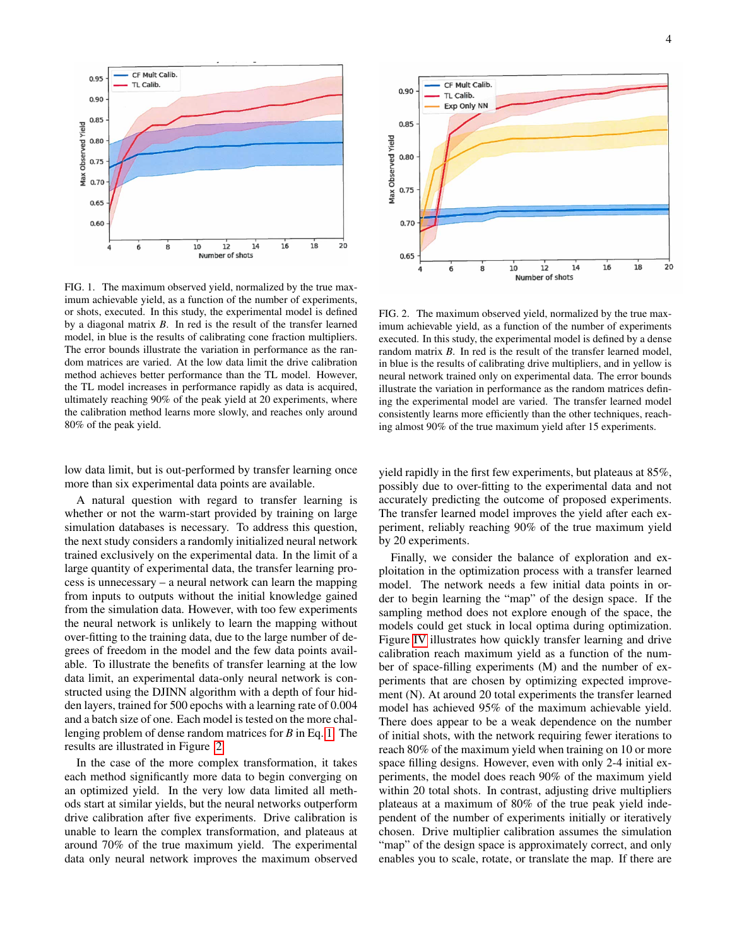

<span id="page-3-0"></span>FIG. 1. The maximum observed yield, normalized by the true maximum achievable yield, as a function of the number of experiments, or shots, executed. In this study, the experimental model is defined by a diagonal matrix *B*. In red is the result of the transfer learned model, in blue is the results of calibrating cone fraction multipliers. The error bounds illustrate the variation in performance as the random matrices are varied. At the low data limit the drive calibration method achieves better performance than the TL model. However, the TL model increases in performance rapidly as data is acquired, ultimately reaching 90% of the peak yield at 20 experiments, where the calibration method learns more slowly, and reaches only around 80% of the peak yield.

low data limit, but is out-performed by transfer learning once more than six experimental data points are available.

A natural question with regard to transfer learning is whether or not the warm-start provided by training on large simulation databases is necessary. To address this question, the next study considers a randomly initialized neural network trained exclusively on the experimental data. In the limit of a large quantity of experimental data, the transfer learning process is unnecessary – a neural network can learn the mapping from inputs to outputs without the initial knowledge gained from the simulation data. However, with too few experiments the neural network is unlikely to learn the mapping without over-fitting to the training data, due to the large number of degrees of freedom in the model and the few data points available. To illustrate the benefits of transfer learning at the low data limit, an experimental data-only neural network is constructed using the DJINN algorithm with a depth of four hidden layers, trained for 500 epochs with a learning rate of 0.004 and a batch size of one. Each model is tested on the more challenging problem of dense random matrices for *B* in Eq. [1.](#page-1-1) The results are illustrated in Figure [2.](#page-3-1)

In the case of the more complex transformation, it takes each method significantly more data to begin converging on an optimized yield. In the very low data limited all methods start at similar yields, but the neural networks outperform drive calibration after five experiments. Drive calibration is unable to learn the complex transformation, and plateaus at around 70% of the true maximum yield. The experimental data only neural network improves the maximum observed



<span id="page-3-1"></span>FIG. 2. The maximum observed yield, normalized by the true maximum achievable yield, as a function of the number of experiments executed. In this study, the experimental model is defined by a dense random matrix *B*. In red is the result of the transfer learned model, in blue is the results of calibrating drive multipliers, and in yellow is neural network trained only on experimental data. The error bounds illustrate the variation in performance as the random matrices defining the experimental model are varied. The transfer learned model consistently learns more efficiently than the other techniques, reaching almost 90% of the true maximum yield after 15 experiments.

yield rapidly in the first few experiments, but plateaus at 85%, possibly due to over-fitting to the experimental data and not accurately predicting the outcome of proposed experiments. The transfer learned model improves the yield after each experiment, reliably reaching 90% of the true maximum yield by 20 experiments.

Finally, we consider the balance of exploration and exploitation in the optimization process with a transfer learned model. The network needs a few initial data points in order to begin learning the "map" of the design space. If the sampling method does not explore enough of the space, the models could get stuck in local optima during optimization. Figure [IV](#page-3-1) illustrates how quickly transfer learning and drive calibration reach maximum yield as a function of the number of space-filling experiments (M) and the number of experiments that are chosen by optimizing expected improvement (N). At around 20 total experiments the transfer learned model has achieved 95% of the maximum achievable yield. There does appear to be a weak dependence on the number of initial shots, with the network requiring fewer iterations to reach 80% of the maximum yield when training on 10 or more space filling designs. However, even with only 2-4 initial experiments, the model does reach 90% of the maximum yield within 20 total shots. In contrast, adjusting drive multipliers plateaus at a maximum of 80% of the true peak yield independent of the number of experiments initially or iteratively chosen. Drive multiplier calibration assumes the simulation "map" of the design space is approximately correct, and only enables you to scale, rotate, or translate the map. If there are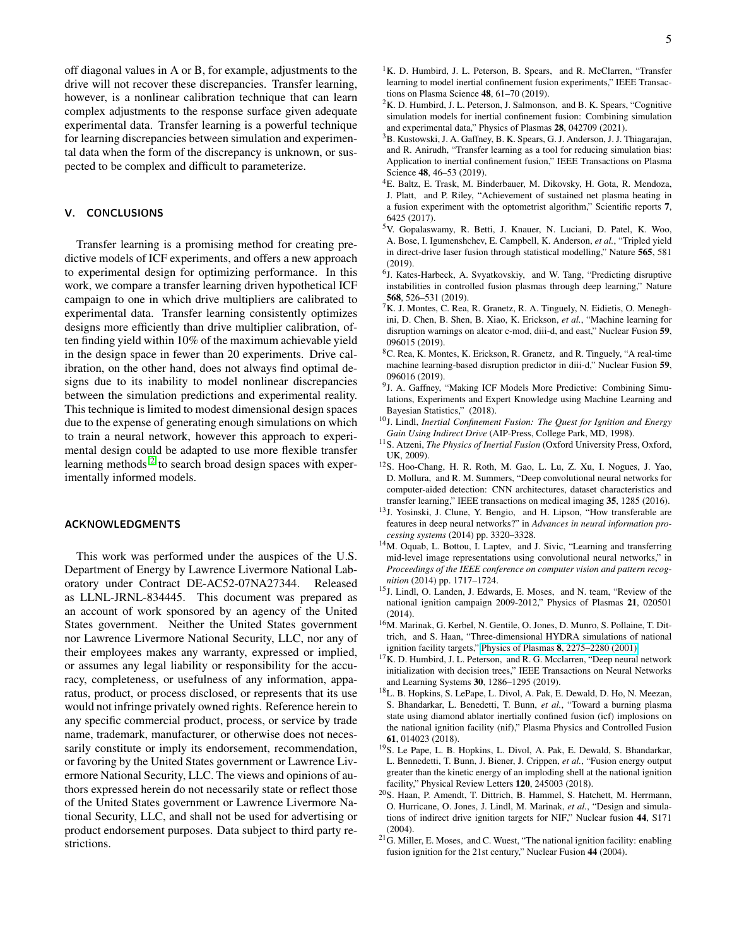5

off diagonal values in A or B, for example, adjustments to the drive will not recover these discrepancies. Transfer learning, however, is a nonlinear calibration technique that can learn complex adjustments to the response surface given adequate experimental data. Transfer learning is a powerful technique for learning discrepancies between simulation and experimental data when the form of the discrepancy is unknown, or suspected to be complex and difficult to parameterize.

## V. CONCLUSIONS

Transfer learning is a promising method for creating predictive models of ICF experiments, and offers a new approach to experimental design for optimizing performance. In this work, we compare a transfer learning driven hypothetical ICF campaign to one in which drive multipliers are calibrated to experimental data. Transfer learning consistently optimizes designs more efficiently than drive multiplier calibration, often finding yield within 10% of the maximum achievable yield in the design space in fewer than 20 experiments. Drive calibration, on the other hand, does not always find optimal designs due to its inability to model nonlinear discrepancies between the simulation predictions and experimental reality. This technique is limited to modest dimensional design spaces due to the expense of generating enough simulations on which to train a neural network, however this approach to experimental design could be adapted to use more flexible transfer learning methods<sup>[2](#page-4-1)</sup> to search broad design spaces with experimentally informed models.

# ACKNOWLEDGMENTS

This work was performed under the auspices of the U.S. Department of Energy by Lawrence Livermore National Laboratory under Contract DE-AC52-07NA27344. Released as LLNL-JRNL-834445. This document was prepared as an account of work sponsored by an agency of the United States government. Neither the United States government nor Lawrence Livermore National Security, LLC, nor any of their employees makes any warranty, expressed or implied, or assumes any legal liability or responsibility for the accuracy, completeness, or usefulness of any information, apparatus, product, or process disclosed, or represents that its use would not infringe privately owned rights. Reference herein to any specific commercial product, process, or service by trade name, trademark, manufacturer, or otherwise does not necessarily constitute or imply its endorsement, recommendation, or favoring by the United States government or Lawrence Livermore National Security, LLC. The views and opinions of authors expressed herein do not necessarily state or reflect those of the United States government or Lawrence Livermore National Security, LLC, and shall not be used for advertising or product endorsement purposes. Data subject to third party restrictions.

- <span id="page-4-0"></span><sup>1</sup>K. D. Humbird, J. L. Peterson, B. Spears, and R. McClarren, "Transfer learning to model inertial confinement fusion experiments," IEEE Transactions on Plasma Science 48, 61–70 (2019).
- <span id="page-4-1"></span> ${}^{2}$ K. D. Humbird, J. L. Peterson, J. Salmonson, and B. K. Spears, "Cognitive simulation models for inertial confinement fusion: Combining simulation and experimental data," Physics of Plasmas 28, 042709 (2021).
- <span id="page-4-2"></span><sup>3</sup>B. Kustowski, J. A. Gaffney, B. K. Spears, G. J. Anderson, J. J. Thiagarajan, and R. Anirudh, "Transfer learning as a tool for reducing simulation bias: Application to inertial confinement fusion," IEEE Transactions on Plasma Science 48, 46–53 (2019).
- <span id="page-4-3"></span><sup>4</sup>E. Baltz, E. Trask, M. Binderbauer, M. Dikovsky, H. Gota, R. Mendoza, J. Platt, and P. Riley, "Achievement of sustained net plasma heating in a fusion experiment with the optometrist algorithm," Scientific reports 7, 6425 (2017).
- <span id="page-4-4"></span><sup>5</sup>V. Gopalaswamy, R. Betti, J. Knauer, N. Luciani, D. Patel, K. Woo, A. Bose, I. Igumenshchev, E. Campbell, K. Anderson, *et al.*, "Tripled yield in direct-drive laser fusion through statistical modelling," Nature 565, 581 (2019).
- <span id="page-4-5"></span><sup>6</sup>J. Kates-Harbeck, A. Svyatkovskiy, and W. Tang, "Predicting disruptive instabilities in controlled fusion plasmas through deep learning," Nature 568, 526–531 (2019).
- <sup>7</sup>K. J. Montes, C. Rea, R. Granetz, R. A. Tinguely, N. Eidietis, O. Meneghini, D. Chen, B. Shen, B. Xiao, K. Erickson, *et al.*, "Machine learning for disruption warnings on alcator c-mod, diii-d, and east," Nuclear Fusion 59, 096015 (2019).
- <span id="page-4-6"></span><sup>8</sup>C. Rea, K. Montes, K. Erickson, R. Granetz, and R. Tinguely, "A real-time machine learning-based disruption predictor in diii-d," Nuclear Fusion 59, 096016 (2019).
- <span id="page-4-7"></span><sup>9</sup>J. A. Gaffney, "Making ICF Models More Predictive: Combining Simulations, Experiments and Expert Knowledge using Machine Learning and Bayesian Statistics," (2018).
- <span id="page-4-8"></span><sup>10</sup>J. Lindl, *Inertial Confinement Fusion: The Quest for Ignition and Energy Gain Using Indirect Drive* (AIP-Press, College Park, MD, 1998).
- <span id="page-4-9"></span><sup>11</sup>S. Atzeni, *The Physics of Inertial Fusion* (Oxford University Press, Oxford, UK, 2009).
- <span id="page-4-10"></span><sup>12</sup>S. Hoo-Chang, H. R. Roth, M. Gao, L. Lu, Z. Xu, I. Nogues, J. Yao, D. Mollura, and R. M. Summers, "Deep convolutional neural networks for computer-aided detection: CNN architectures, dataset characteristics and transfer learning," IEEE transactions on medical imaging 35, 1285 (2016).
- <sup>13</sup>J. Yosinski, J. Clune, Y. Bengio, and H. Lipson, "How transferable are features in deep neural networks?" in *Advances in neural information processing systems* (2014) pp. 3320–3328.
- <span id="page-4-11"></span><sup>14</sup>M. Oquab, L. Bottou, I. Laptev, and J. Sivic, "Learning and transferring mid-level image representations using convolutional neural networks," in *Proceedings of the IEEE conference on computer vision and pattern recognition* (2014) pp. 1717–1724.
- <span id="page-4-12"></span><sup>15</sup>J. Lindl, O. Landen, J. Edwards, E. Moses, and N. team, "Review of the national ignition campaign 2009-2012," Physics of Plasmas 21, 020501 (2014).
- <span id="page-4-13"></span><sup>16</sup>M. Marinak, G. Kerbel, N. Gentile, O. Jones, D. Munro, S. Pollaine, T. Dittrich, and S. Haan, "Three-dimensional HYDRA simulations of national ignition facility targets," Physics of Plasmas 8[, 2275–2280 \(2001\).](http://dx.doi.org/http://dx.doi.org/10.1063/1.1356740)
- <span id="page-4-14"></span><sup>17</sup>K. D. Humbird, J. L. Peterson, and R. G. Mcclarren, "Deep neural network initialization with decision trees," IEEE Transactions on Neural Networks and Learning Systems 30, 1286–1295 (2019).
- <span id="page-4-15"></span><sup>18</sup>L. B. Hopkins, S. LePape, L. Divol, A. Pak, E. Dewald, D. Ho, N. Meezan, S. Bhandarkar, L. Benedetti, T. Bunn, *et al.*, "Toward a burning plasma state using diamond ablator inertially confined fusion (icf) implosions on the national ignition facility (nif)," Plasma Physics and Controlled Fusion 61, 014023 (2018).
- <span id="page-4-16"></span><sup>19</sup>S. Le Pape, L. B. Hopkins, L. Divol, A. Pak, E. Dewald, S. Bhandarkar, L. Bennedetti, T. Bunn, J. Biener, J. Crippen, *et al.*, "Fusion energy output greater than the kinetic energy of an imploding shell at the national ignition facility," Physical Review Letters 120, 245003 (2018).
- <span id="page-4-17"></span><sup>20</sup>S. Haan, P. Amendt, T. Dittrich, B. Hammel, S. Hatchett, M. Herrmann, O. Hurricane, O. Jones, J. Lindl, M. Marinak, *et al.*, "Design and simulations of indirect drive ignition targets for NIF," Nuclear fusion 44, S171 (2004).
- <span id="page-4-18"></span> $21$ G. Miller, E. Moses, and C. Wuest, "The national ignition facility: enabling fusion ignition for the 21st century," Nuclear Fusion 44 (2004).